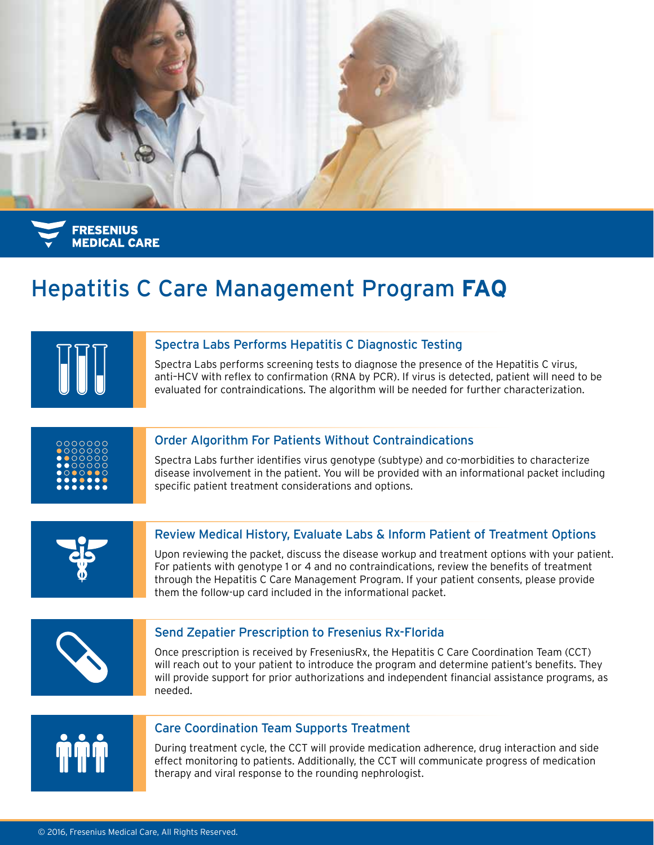

**FRESENIUS MEDICAL CARE** 

## Hepatitis C Care Management Program **FAQ**



#### Spectra Labs Performs Hepatitis C Diagnostic Testing

Spectra Labs performs screening tests to diagnose the presence of the Hepatitis C virus, anti–HCV with reflex to confirmation (RNA by PCR). If virus is detected, patient will need to be evaluated for contraindications. The algorithm will be needed for further characterization.



#### Order Algorithm For Patients Without Contraindications

Spectra Labs further identifies virus genotype (subtype) and co-morbidities to characterize disease involvement in the patient. You will be provided with an informational packet including specific patient treatment considerations and options.



#### Review Medical History, Evaluate Labs & Inform Patient of Treatment Options

Upon reviewing the packet, discuss the disease workup and treatment options with your patient. For patients with genotype 1 or 4 and no contraindications, review the benefits of treatment through the Hepatitis C Care Management Program. If your patient consents, please provide them the follow-up card included in the informational packet.



#### Send Zepatier Prescription to Fresenius Rx-Florida

Once prescription is received by FreseniusRx, the Hepatitis C Care Coordination Team (CCT) will reach out to your patient to introduce the program and determine patient's benefits. They will provide support for prior authorizations and independent financial assistance programs, as needed.



#### Care Coordination Team Supports Treatment

During treatment cycle, the CCT will provide medication adherence, drug interaction and side effect monitoring to patients. Additionally, the CCT will communicate progress of medication therapy and viral response to the rounding nephrologist.